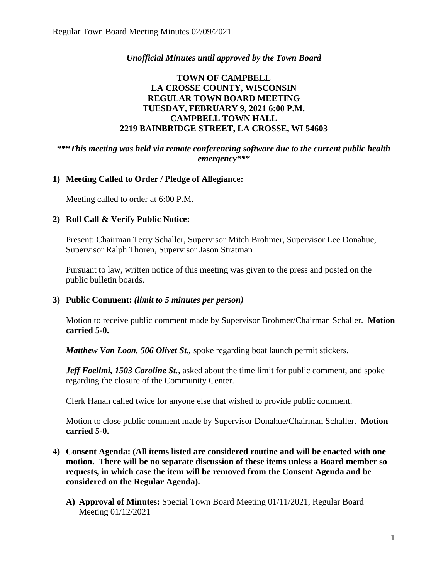### *Unofficial Minutes until approved by the Town Board*

### **TOWN OF CAMPBELL LA CROSSE COUNTY, WISCONSIN REGULAR TOWN BOARD MEETING TUESDAY, FEBRUARY 9, 2021 6:00 P.M. CAMPBELL TOWN HALL 2219 BAINBRIDGE STREET, LA CROSSE, WI 54603**

#### **\*\*\****This meeting was held via remote conferencing software due to the current public health emergency\*\*\**

#### **1) Meeting Called to Order / Pledge of Allegiance:**

Meeting called to order at 6:00 P.M.

#### **2) Roll Call & Verify Public Notice:**

Present: Chairman Terry Schaller, Supervisor Mitch Brohmer, Supervisor Lee Donahue, Supervisor Ralph Thoren, Supervisor Jason Stratman

Pursuant to law, written notice of this meeting was given to the press and posted on the public bulletin boards.

#### **3) Public Comment:** *(limit to 5 minutes per person)*

Motion to receive public comment made by Supervisor Brohmer/Chairman Schaller. **Motion carried 5-0.**

*Matthew Van Loon, 506 Olivet St.,* spoke regarding boat launch permit stickers.

*Jeff Foellmi, 1503 Caroline St.*, asked about the time limit for public comment, and spoke regarding the closure of the Community Center.

Clerk Hanan called twice for anyone else that wished to provide public comment.

Motion to close public comment made by Supervisor Donahue/Chairman Schaller. **Motion carried 5-0.**

- **4) Consent Agenda: (All items listed are considered routine and will be enacted with one motion. There will be no separate discussion of these items unless a Board member so requests, in which case the item will be removed from the Consent Agenda and be considered on the Regular Agenda).**
	- **A) Approval of Minutes:** Special Town Board Meeting 01/11/2021, Regular Board Meeting 01/12/2021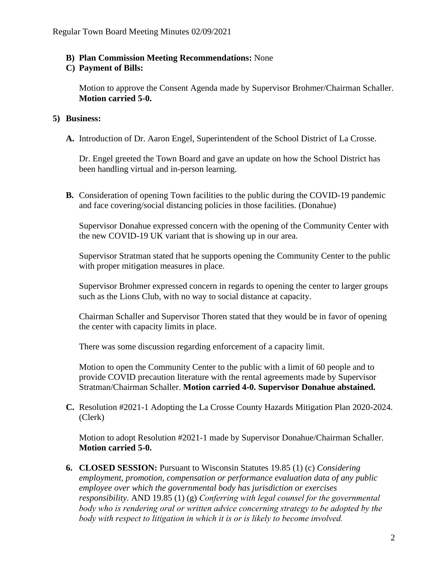#### **B) Plan Commission Meeting Recommendations:** None

#### **C) Payment of Bills:**

Motion to approve the Consent Agenda made by Supervisor Brohmer/Chairman Schaller. **Motion carried 5-0.**

#### **5) Business:**

**A.** Introduction of Dr. Aaron Engel, Superintendent of the School District of La Crosse.

Dr. Engel greeted the Town Board and gave an update on how the School District has been handling virtual and in-person learning.

**B.** Consideration of opening Town facilities to the public during the COVID-19 pandemic and face covering/social distancing policies in those facilities. (Donahue)

Supervisor Donahue expressed concern with the opening of the Community Center with the new COVID-19 UK variant that is showing up in our area.

Supervisor Stratman stated that he supports opening the Community Center to the public with proper mitigation measures in place.

Supervisor Brohmer expressed concern in regards to opening the center to larger groups such as the Lions Club, with no way to social distance at capacity.

Chairman Schaller and Supervisor Thoren stated that they would be in favor of opening the center with capacity limits in place.

There was some discussion regarding enforcement of a capacity limit.

Motion to open the Community Center to the public with a limit of 60 people and to provide COVID precaution literature with the rental agreements made by Supervisor Stratman/Chairman Schaller. **Motion carried 4-0. Supervisor Donahue abstained.**

**C.** Resolution #2021-1 Adopting the La Crosse County Hazards Mitigation Plan 2020-2024. (Clerk)

Motion to adopt Resolution #2021-1 made by Supervisor Donahue/Chairman Schaller. **Motion carried 5-0.** 

**6. CLOSED SESSION:** Pursuant to Wisconsin Statutes 19.85 (1) (c) *Considering employment, promotion, compensation or performance evaluation data of any public employee over which the governmental body has jurisdiction or exercises responsibility.* AND 19.85 (1) (g) *Conferring with legal counsel for the governmental body who is rendering oral or written advice concerning strategy to be adopted by the body with respect to litigation in which it is or is likely to become involved.*